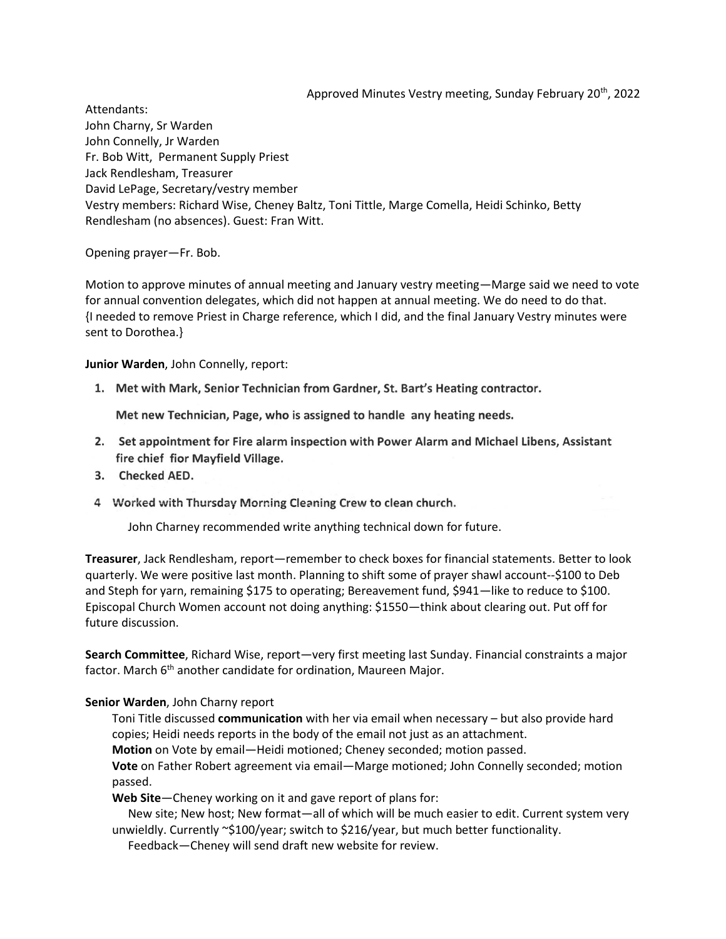Approved Minutes Vestry meeting, Sunday February 20<sup>th</sup>, 2022

Attendants: John Charny, Sr Warden John Connelly, Jr Warden Fr. Bob Witt, Permanent Supply Priest Jack Rendlesham, Treasurer David LePage, Secretary/vestry member Vestry members: Richard Wise, Cheney Baltz, Toni Tittle, Marge Comella, Heidi Schinko, Betty Rendlesham (no absences). Guest: Fran Witt.

Opening prayer—Fr. Bob.

Motion to approve minutes of annual meeting and January vestry meeting—Marge said we need to vote for annual convention delegates, which did not happen at annual meeting. We do need to do that. {I needed to remove Priest in Charge reference, which I did, and the final January Vestry minutes were sent to Dorothea.}

**Junior Warden**, John Connelly, report:

1. Met with Mark, Senior Technician from Gardner, St. Bart's Heating contractor.

Met new Technician, Page, who is assigned to handle any heating needs.

- 2. Set appointment for Fire alarm inspection with Power Alarm and Michael Libens, Assistant fire chief fior Mayfield Village.
- 3. Checked AED.
- 4 Worked with Thursday Morning Cleaning Crew to clean church.

John Charney recommended write anything technical down for future.

**Treasurer**, Jack Rendlesham, report—remember to check boxes for financial statements. Better to look quarterly. We were positive last month. Planning to shift some of prayer shawl account--\$100 to Deb and Steph for yarn, remaining \$175 to operating; Bereavement fund, \$941—like to reduce to \$100. Episcopal Church Women account not doing anything: \$1550—think about clearing out. Put off for future discussion.

**Search Committee**, Richard Wise, report—very first meeting last Sunday. Financial constraints a major factor. March  $6<sup>th</sup>$  another candidate for ordination, Maureen Major.

## **Senior Warden**, John Charny report

Toni Title discussed **communication** with her via email when necessary – but also provide hard copies; Heidi needs reports in the body of the email not just as an attachment.

**Motion** on Vote by email—Heidi motioned; Cheney seconded; motion passed.

**Vote** on Father Robert agreement via email—Marge motioned; John Connelly seconded; motion passed.

**Web Site**—Cheney working on it and gave report of plans for:

New site; New host; New format—all of which will be much easier to edit. Current system very unwieldly. Currently ~\$100/year; switch to \$216/year, but much better functionality.

Feedback—Cheney will send draft new website for review.